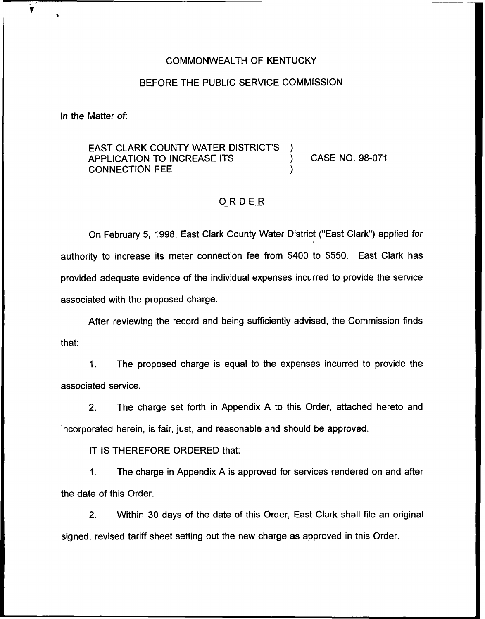#### COMMONWEALTH OF KENTUCKY

#### BEFORE THE PUBLIC SERVICE COMMISSION

In the Matter of:

 $\blacktriangledown$ 

## EAST CLARK COUNTY WATER DISTRICT'S )<br>APPLICATION TO INCREASE ITS APPLICATION TO INCREASE ITS ) CASE NO. 98-071 CONNECTION FEE )

### ORDER

On February 5, 1998, East Clark County Water District ("East Clark") applied for authority to increase its meter connection fee from \$400 to \$550. East Clark has provided adequate evidence of the individual expenses incurred to provide the service associated with the proposed charge.

After reviewing the record and being sufficiently advised, the Commission finds that:

1. The proposed charge is equal to the expenses incurred to provide the associated service.

2. The charge set forth in Appendix A to this Order, attached hereto and incorporated herein, is fair, just, and reasonable and should be approved.

IT IS THEREFORE ORDERED that:

1. The charge in Appendix A is approved for services rendered on and after the date of this Order.

2. Within 30 days of the date of this Order, East Clark shall file an original signed, revised tariff sheet setting out the new charge as approved in this Order.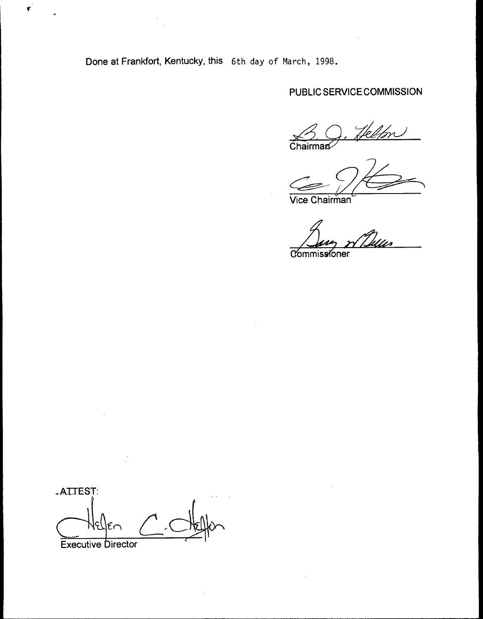Done at Frankfort, Kentucky, this 6th day of March, 1998.

 $\mathbf{r}$ 

## PUBLIC SERVICE COMMISSION

**Chairman**  $\beta$ , Help

Vice Chairman

**Commissioner** 

.AU EST: Executive birector